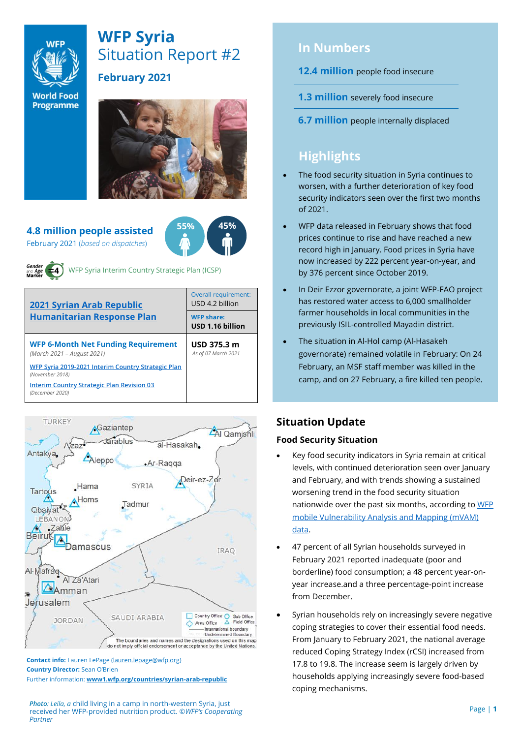

# **WFP Syria** Situation Report #2

**World Food Programme** 

## **February 2021**



#### **4.8 million people assisted**  February 2021 (*based on dispatches*)





WFP Syria Interim Country Strategic Plan (ICSP)

| <b>2021 Syrian Arab Republic</b>                                         | Overall requirement:<br>USD 4.2 billion |  |  |
|--------------------------------------------------------------------------|-----------------------------------------|--|--|
| <b>Humanitarian Response Plan</b>                                        | <b>WFP share:</b><br>USD 1.16 billion   |  |  |
| <b>WFP 6-Month Net Funding Requirement</b><br>(March 2021 - August 2021) | USD 375.3 m<br>As of 07 March 2021      |  |  |
| WFP Syria 2019-2021 Interim Country Strategic Plan<br>(November 2018)    |                                         |  |  |
| <b>Interim Country Strategic Plan Revision 03</b><br>(December 2020)     |                                         |  |  |



**Contact info:** Lauren LePage [\(lauren.lepage@wfp.org\)](mailto:lauren.lepage@wfp.org) **Country Director:** Sean O'Brien Further information: **[www1.wfp.org/countries/syrian-arab-republic](file:///C:/Users/lauren.lepage/AppData/Local/Microsoft/Windows/INetCache/Content.Outlook/HTRVWXQN/www1.wfp.org/countries/syrian-arab-republic)**

*Photo: Leila, a* child living in a camp in north-western Syria, just received her WFP-provided nutrition product. ©*WFP's Cooperating Partner*

# **In Numbers**

#### **12.4 million** people food insecure

- **1.3 million** severely food insecure
- **6.7 million** people internally displaced

# **Highlights**

- The food security situation in Syria continues to worsen, with a further deterioration of key food security indicators seen over the first two months of 2021.
- WFP data released in February shows that food prices continue to rise and have reached a new record high in January. Food prices in Syria have now increased by 222 percent year-on-year, and by 376 percent since October 2019.
- In Deir Ezzor governorate, a joint WFP-FAO project has restored water access to 6,000 smallholder farmer households in local communities in the previously ISIL-controlled Mayadin district.
- The situation in Al-Hol camp (Al-Hasakeh governorate) remained volatile in February: On 24 February, an MSF staff member was killed in the camp, and on 27 February, a fire killed ten people.

# **Situation Update**

#### **Food Security Situation**

- Key food security indicators in Syria remain at critical levels, with continued deterioration seen over January and February, and with trends showing a sustained worsening trend in the food security situation nationwide over the past six months, according t[o WFP](https://reliefweb.int/report/syrian-arab-republic/syria-mvam-bulletin-52-january-and-february-2021)  [mobile Vulnerability Analysis and Mapping \(mVAM\)](https://reliefweb.int/report/syrian-arab-republic/syria-mvam-bulletin-52-january-and-february-2021)  [data.](https://reliefweb.int/report/syrian-arab-republic/syria-mvam-bulletin-52-january-and-february-2021)
- 47 percent of all Syrian households surveyed in February 2021 reported inadequate (poor and borderline) food consumption; a 48 percent year-onyear increase.and a three percentage-point increase from December.
- Syrian households rely on increasingly severe negative coping strategies to cover their essential food needs. From January to February 2021, the national average reduced Coping Strategy Index (rCSI) increased from 17.8 to 19.8. The increase seem is largely driven by households applying increasingly severe food-based coping mechanisms.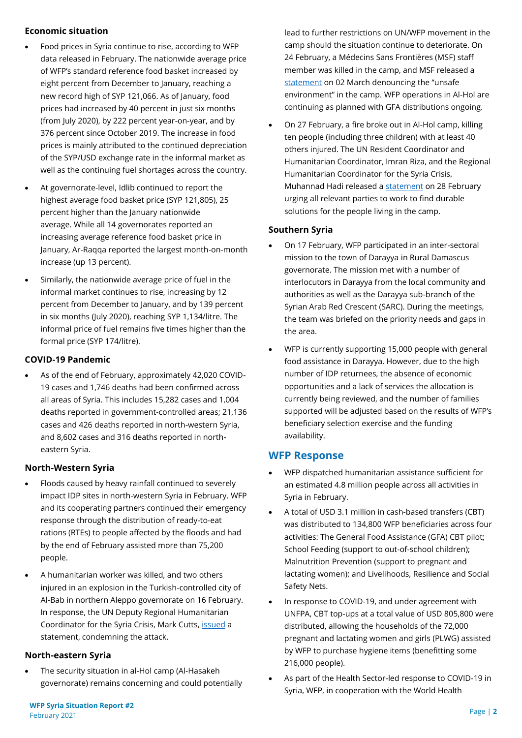#### **Economic situation**

- Food prices in Syria continue to rise, according to WFP data released in February. The nationwide average price of WFP's standard reference food basket increased by eight percent from December to January, reaching a new record high of SYP 121,066. As of January, food prices had increased by 40 percent in just six months (from July 2020), by 222 percent year-on-year, and by 376 percent since October 2019. The increase in food prices is mainly attributed to the continued depreciation of the SYP/USD exchange rate in the informal market as well as the continuing fuel shortages across the country.
- At governorate-level, Idlib continued to report the highest average food basket price (SYP 121,805), 25 percent higher than the January nationwide average. While all 14 governorates reported an increasing average reference food basket price in January, Ar-Raqqa reported the largest month-on-month increase (up 13 percent).
- Similarly, the nationwide average price of fuel in the informal market continues to rise, increasing by 12 percent from December to January, and by 139 percent in six months (July 2020), reaching SYP 1,134/litre. The informal price of fuel remains five times higher than the formal price (SYP 174/litre).

#### **COVID-19 Pandemic**

• As of the end of February, approximately 42,020 COVID-19 cases and 1,746 deaths had been confirmed across all areas of Syria. This includes 15,282 cases and 1,004 deaths reported in government-controlled areas; 21,136 cases and 426 deaths reported in north-western Syria, and 8,602 cases and 316 deaths reported in northeastern Syria.

#### **North-Western Syria**

- Floods caused by heavy rainfall continued to severely impact IDP sites in north-western Syria in February. WFP and its cooperating partners continued their emergency response through the distribution of ready-to-eat rations (RTEs) to people affected by the floods and had by the end of February assisted more than 75,200 people.
- A humanitarian worker was killed, and two others injured in an explosion in the Turkish-controlled city of Al-Bab in northern Aleppo governorate on 16 February. In response, the UN Deputy Regional Humanitarian Coordinator for the Syria Crisis, Mark Cutts, [issued](https://reliefweb.int/sites/reliefweb.int/files/resources/DRHC%20statement%20on%20the%20killing%20of%20a%20humanitarian%20worker%20-%20170220.pdf) a statement, condemning the attack.

#### **North-eastern Syria**

The security situation in al-Hol camp (Al-Hasakeh governorate) remains concerning and could potentially

lead to further restrictions on UN/WFP movement in the camp should the situation continue to deteriorate. On 24 February, a Médecins Sans Frontières (MSF) staff member was killed in the camp, and MSF released a [statement](https://www.msf.org/msf-denounces-unsafe-environment-al-hol-camp-syria) on 02 March denouncing the "unsafe environment" in the camp. WFP operations in Al-Hol are continuing as planned with GFA distributions ongoing.

• On 27 February, a fire broke out in Al-Hol camp, killing ten people (including three children) with at least 40 others injured. The UN Resident Coordinator and Humanitarian Coordinator, Imran Riza, and the Regional Humanitarian Coordinator for the Syria Crisis, Muhannad Hadi released a [statement](https://reliefweb.int/report/syrian-arab-republic/united-nations-resident-coordinator-and-humanitarian-coordinator-syria-7) on 28 February urging all relevant parties to work to find durable solutions for the people living in the camp.

#### **Southern Syria**

- On 17 February, WFP participated in an inter-sectoral mission to the town of Darayya in Rural Damascus governorate. The mission met with a number of interlocutors in Darayya from the local community and authorities as well as the Darayya sub-branch of the Syrian Arab Red Crescent (SARC). During the meetings, the team was briefed on the priority needs and gaps in the area.
- WFP is currently supporting 15,000 people with general food assistance in Darayya. However, due to the high number of IDP returnees, the absence of economic opportunities and a lack of services the allocation is currently being reviewed, and the number of families supported will be adjusted based on the results of WFP's beneficiary selection exercise and the funding availability.

### **WFP Response**

- WFP dispatched humanitarian assistance sufficient for an estimated 4.8 million people across all activities in Syria in February.
- A total of USD 3.1 million in cash-based transfers (CBT) was distributed to 134,800 WFP beneficiaries across four activities: The General Food Assistance (GFA) CBT pilot; School Feeding (support to out-of-school children); Malnutrition Prevention (support to pregnant and lactating women); and Livelihoods, Resilience and Social Safety Nets.
- In response to COVID-19, and under agreement with UNFPA, CBT top-ups at a total value of USD 805,800 were distributed, allowing the households of the 72,000 pregnant and lactating women and girls (PLWG) assisted by WFP to purchase hygiene items (benefitting some 216,000 people).
- As part of the Health Sector-led response to COVID-19 in Syria, WFP, in cooperation with the World Health